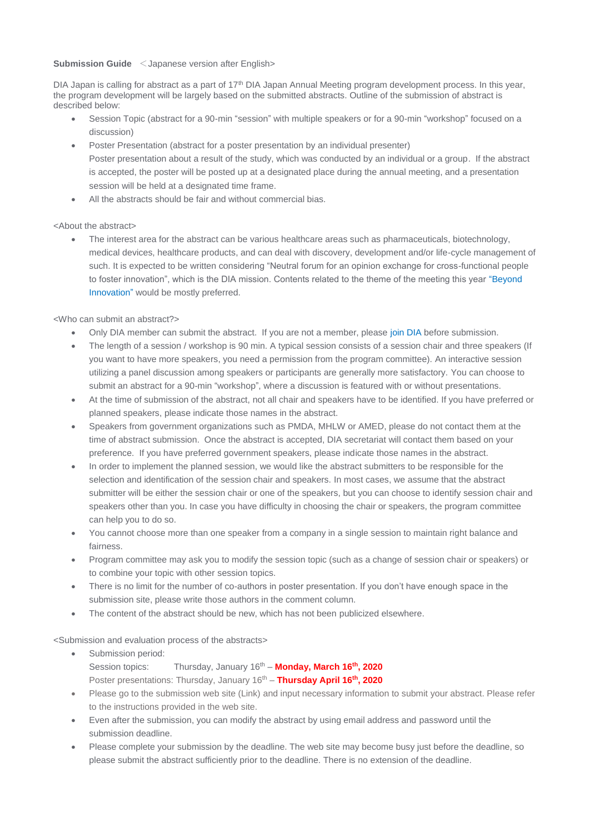# **Submission Guide** <Japanese version after English>

DIA Japan is calling for abstract as a part of 17<sup>th</sup> DIA Japan Annual Meeting program development process. In this year, the program development will be largely based on the submitted abstracts. Outline of the submission of abstract is described below:

- Session Topic (abstract for a 90-min "session" with multiple speakers or for a 90-min "workshop" focused on a discussion)
- Poster Presentation (abstract for a poster presentation by an individual presenter) Poster presentation about a result of the study, which was conducted by an individual or a group. If the abstract is accepted, the poster will be posted up at a designated place during the annual meeting, and a presentation session will be held at a designated time frame.
- All the abstracts should be fair and without commercial bias.

<About the abstract>

• The interest area for the abstract can be various healthcare areas such as pharmaceuticals, biotechnology, medical devices, healthcare products, and can deal with discovery, development and/or life-cycle management of such. It is expected to be written considering "Neutral forum for an opinion exchange for cross-functional people to foster innovation", which is the DIA mission. Contents related to the theme of the meeting this year "Beyond Innovation" would be mostly preferred.

<Who can submit an abstract?>

- Only DIA member can submit the abstract. If you are not a member, please join DIA before submission.
- The length of a session / workshop is 90 min. A typical session consists of a session chair and three speakers (If you want to have more speakers, you need a permission from the program committee). An interactive session utilizing a panel discussion among speakers or participants are generally more satisfactory. You can choose to submit an abstract for a 90-min "workshop", where a discussion is featured with or without presentations.
- At the time of submission of the abstract, not all chair and speakers have to be identified. If you have preferred or planned speakers, please indicate those names in the abstract.
- Speakers from government organizations such as PMDA, MHLW or AMED, please do not contact them at the time of abstract submission. Once the abstract is accepted, DIA secretariat will contact them based on your preference. If you have preferred government speakers, please indicate those names in the abstract.
- In order to implement the planned session, we would like the abstract submitters to be responsible for the selection and identification of the session chair and speakers. In most cases, we assume that the abstract submitter will be either the session chair or one of the speakers, but you can choose to identify session chair and speakers other than you. In case you have difficulty in choosing the chair or speakers, the program committee can help you to do so.
- You cannot choose more than one speaker from a company in a single session to maintain right balance and fairness.
- Program committee may ask you to modify the session topic (such as a change of session chair or speakers) or to combine your topic with other session topics.
- There is no limit for the number of co-authors in poster presentation. If you don't have enough space in the submission site, please write those authors in the comment column.
- The content of the abstract should be new, which has not been publicized elsewhere.

<Submission and evaluation process of the abstracts>

- Submission period: Session topics: Thursday, January 16<sup>th</sup> - **Monday, March 16<sup>th</sup>, 2020** Poster presentations: Thursday, January 16<sup>th</sup> - Thursday April 16<sup>th</sup>, 2020
- Please go to the submission web site (Link) and input necessary information to submit your abstract. Please refer to the instructions provided in the web site.
- Even after the submission, you can modify the abstract by using email address and password until the submission deadline.
- Please complete your submission by the deadline. The web site may become busy just before the deadline, so please submit the abstract sufficiently prior to the deadline. There is no extension of the deadline.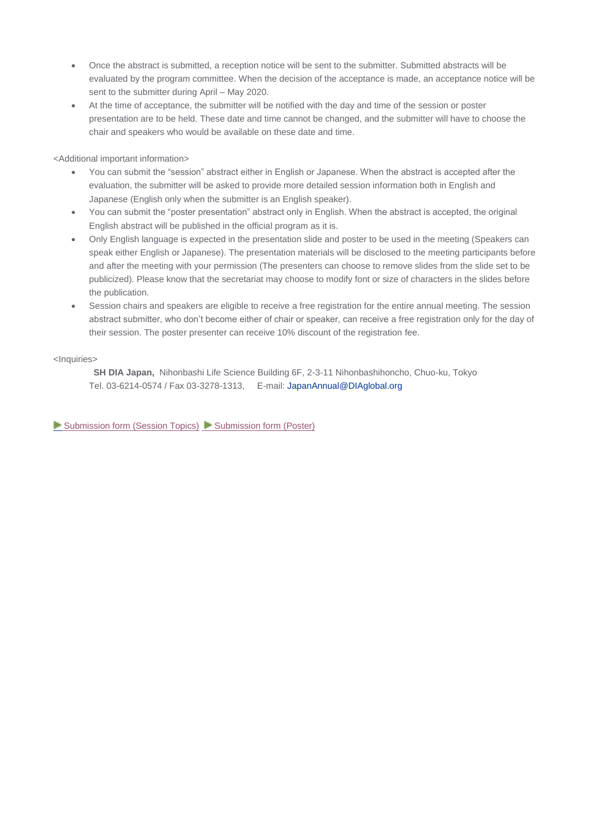- Once the abstract is submitted, a reception notice will be sent to the submitter. Submitted abstracts will be evaluated by the program committee. When the decision of the acceptance is made, an acceptance notice will be sent to the submitter during April – May 2020.
- At the time of acceptance, the submitter will be notified with the day and time of the session or poster presentation are to be held. These date and time cannot be changed, and the submitter will have to choose the chair and speakers who would be available on these date and time.

## <Additional important information>

- You can submit the "session" abstract either in English or Japanese. When the abstract is accepted after the evaluation, the submitter will be asked to provide more detailed session information both in English and Japanese (English only when the submitter is an English speaker).
- You can submit the "poster presentation" abstract only in English. When the abstract is accepted, the original English abstract will be published in the official program as it is.
- Only English language is expected in the presentation slide and poster to be used in the meeting (Speakers can speak either English or Japanese). The presentation materials will be disclosed to the meeting participants before and after the meeting with your permission (The presenters can choose to remove slides from the slide set to be publicized). Please know that the secretariat may choose to modify font or size of characters in the slides before the publication.
- Session chairs and speakers are eligible to receive a free registration for the entire annual meeting. The session abstract submitter, who don't become either of chair or speaker, can receive a free registration only for the day of their session. The poster presenter can receive 10% discount of the registration fee.

### <Inquiries>

**SH DIA Japan,** Nihonbashi Life Science Building 6F, 2-3-11 Nihonbashihoncho, Chuo-ku, Tokyo Tel. 03-6214-0574 / Fax 03-3278-1313, E-mail: [JapanAnnual@DIAglobal.org](mailto:JapanAnnual@DIAglobal.org?subject=19303%20CFA)

[Submission form](https://www.e-sips.com/dia_am_2020/poster.php) (Session Topics) Submission form (Poster)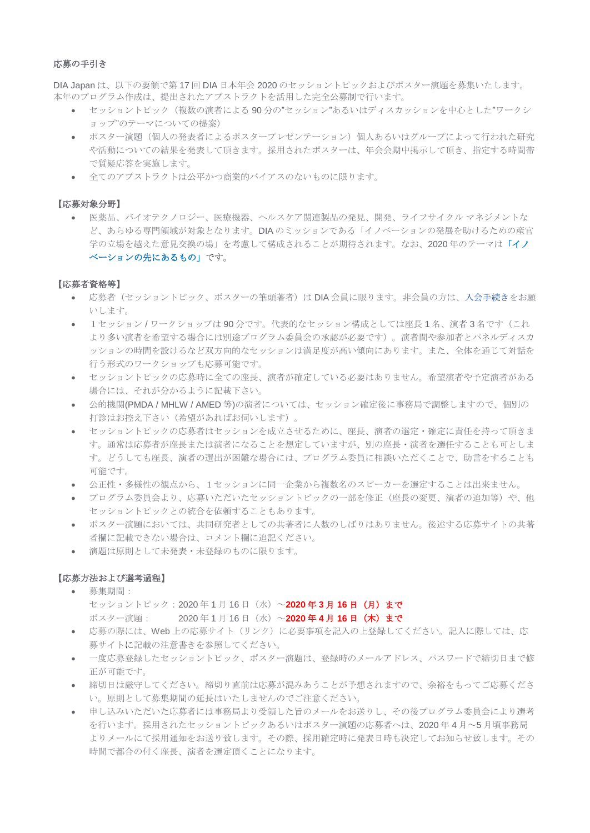### 応募の手引き

DIA Japan は、以下の要領で第 17 回 DIA 日本年会 2020 のセッショントピックおよびポスター演題を募集いたします。 本年のプログラム作成は、提出されたアブストラクトを活用した完全公募制で行います。

- セッショントピック(複数の演者による 90 分の"セッション"あるいはディスカッションを中心とした"ワークシ ョップ"のテーマについての提案)
- ポスター演題(個人の発表者によるポスタープレゼンテーション)個人あるいはグループによって行われた研究 や活動についての結果を発表して頂きます。採用されたポスターは、年会会期中掲示して頂き、指定する時間帯 で質疑応答を実施します。
- 全てのアブストラクトは公平かつ商業的バイアスのないものに限ります。

### 【応募対象分野】

• 医薬品、バイオテクノロジー、医療機器、ヘルスケア関連製品の発見、開発、ライフサイクル マネジメントな ど、あらゆる専門領域が対象となります。DIA のミッションである「イノベーションの発展を助けるための産官 学の立場を越えた意見交換の場」を考慮して構成されることが期待されます。なお、2020 年のテーマは「イノ ベーションの先にあるもの」です。

#### 【応募者資格等】

- 応募者(セッショントピック、ポスターの筆頭著者)は DIA 会員に限ります。非会員の方は[、入会手続きを](http://echo4.bluehornet.com/ct/85286055:Tn2AQQYND:m:1:2980421442:9075838A7FCA2094DA8C9D7325262AE0:r)お願 いします。
- 1セッション/ワークショップは90分です。代表的なセッション構成としては座長1名、演者3名です(これ より多い演者を希望する場合には別途プログラム委員会の承認が必要です)。演者間や参加者とパネルディスカ ッションの時間を設けるなど双方向的なセッションは満足度が高い傾向にあります。また、全体を通じて対話を 行う形式のワークショップも応募可能です。
- セッショントピックの応募時に全ての座長、演者が確定している必要はありません。希望演者や予定演者がある 場合には、それが分かるように記載下さい。
- 公的機関(PMDA / MHLW / AMED 等)の演者については、セッション確定後に事務局で調整しますので、個別の 打診はお控え下さい(希望があればお伺いします)。
- セッショントピックの応募者はセッションを成立させるために、座長、演者の選定・確定に責任を持って頂きま す。通常は応募者が座長または演者になることを想定していますが、別の座長・演者を選任することも可としま す。どうしても座長、演者の選出が困難な場合には、プログラム委員に相談いただくことで、助言をすることも 可能です。
- 公正性・多様性の観点から、1セッションに同一企業から複数名のスピーカーを選定することは出来ません。
- プログラム委員会より、応募いただいたセッショントピックの一部を修正(座長の変更、演者の追加等)や、他 セッショントピックとの統合を依頼することもあります。
- ポスター演題においては、共同研究者としての共著者に人数のしばりはありません。後述する応募サイトの共著 者欄に記載できない場合は、コメント欄に追記ください。
- 演題は原則として未発表・未登録のものに限ります。

## 【応募方法および選考過程】

- 募集期間:
	- セッショントピック:2020 年 1 月 16 日(水)~**2020** 年 **3** 月 **16** 日(月)まで ポスター演題: 2020 年 1 月 16 日(水)~**2020** 年 **4** 月 **16** 日(木)まで
- 応募の際には、Web 上[の応募サ](mailto:応募フォーム)イト(リンク)に必要事項を記入の上登録してください。記入に際しては、応 募サイトに記載の注意書きを参照してください。
- 一度応募登録したセッショントピック、ポスター演題は、登録時のメールアドレス、パスワードで締切日まで修 正が可能です。
- 締切日は厳守してください。締切り直前は応募が混みあうことが予想されますので、余裕をもってご応募くださ い。原則として募集期間の延長はいたしませんのでご注意ください。
- 申し込みいただいた応募者には事務局より受領した旨のメールをお送りし、その後プログラム委員会により選考 を行います。採用されたセッショントピックあるいはポスター演題の応募者へは、2020 年 4 月~5 月頃事務局 よりメールにて採用通知をお送り致します。その際、採用確定時に発表日時も決定してお知らせ致します。その 時間で都合の付く座長、演者を選定頂くことになります。